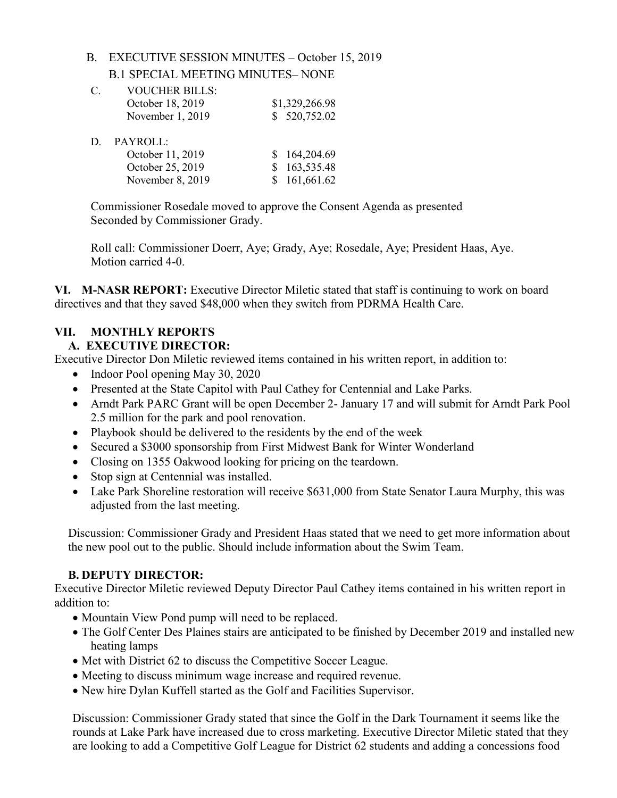### B. EXECUTIVE SESSION MINUTES – October 15, 2019

B.1 SPECIAL MEETING MINUTES– NONE

| C  | <b>VOUCHER BILLS:</b> |                |
|----|-----------------------|----------------|
|    | October 18, 2019      | \$1,329,266.98 |
|    | November 1, 2019      | \$520,752.02   |
| D. | PAYROLL:              |                |
|    | October 11, 2019      | \$164,204.69   |
|    | October 25, 2019      | 163,535.48     |
|    | November 8, 2019      | \$161,661.62   |

Commissioner Rosedale moved to approve the Consent Agenda as presented Seconded by Commissioner Grady.

Roll call: Commissioner Doerr, Aye; Grady, Aye; Rosedale, Aye; President Haas, Aye. Motion carried 4-0.

**VI. M-NASR REPORT:** Executive Director Miletic stated that staff is continuing to work on board directives and that they saved \$48,000 when they switch from PDRMA Health Care.

## **VII. MONTHLY REPORTS**

## **A. EXECUTIVE DIRECTOR:**

Executive Director Don Miletic reviewed items contained in his written report, in addition to:

- Indoor Pool opening May 30, 2020
- Presented at the State Capitol with Paul Cathey for Centennial and Lake Parks.
- Arndt Park PARC Grant will be open December 2- January 17 and will submit for Arndt Park Pool 2.5 million for the park and pool renovation.
- Playbook should be delivered to the residents by the end of the week
- Secured a \$3000 sponsorship from First Midwest Bank for Winter Wonderland
- Closing on 1355 Oakwood looking for pricing on the teardown.
- Stop sign at Centennial was installed.
- Lake Park Shoreline restoration will receive \$631,000 from State Senator Laura Murphy, this was adjusted from the last meeting.

Discussion: Commissioner Grady and President Haas stated that we need to get more information about the new pool out to the public. Should include information about the Swim Team.

## **B. DEPUTY DIRECTOR:**

Executive Director Miletic reviewed Deputy Director Paul Cathey items contained in his written report in addition to:

- Mountain View Pond pump will need to be replaced.
- The Golf Center Des Plaines stairs are anticipated to be finished by December 2019 and installed new heating lamps
- Met with District 62 to discuss the Competitive Soccer League.
- Meeting to discuss minimum wage increase and required revenue.
- New hire Dylan Kuffell started as the Golf and Facilities Supervisor.

Discussion: Commissioner Grady stated that since the Golf in the Dark Tournament it seems like the rounds at Lake Park have increased due to cross marketing. Executive Director Miletic stated that they are looking to add a Competitive Golf League for District 62 students and adding a concessions food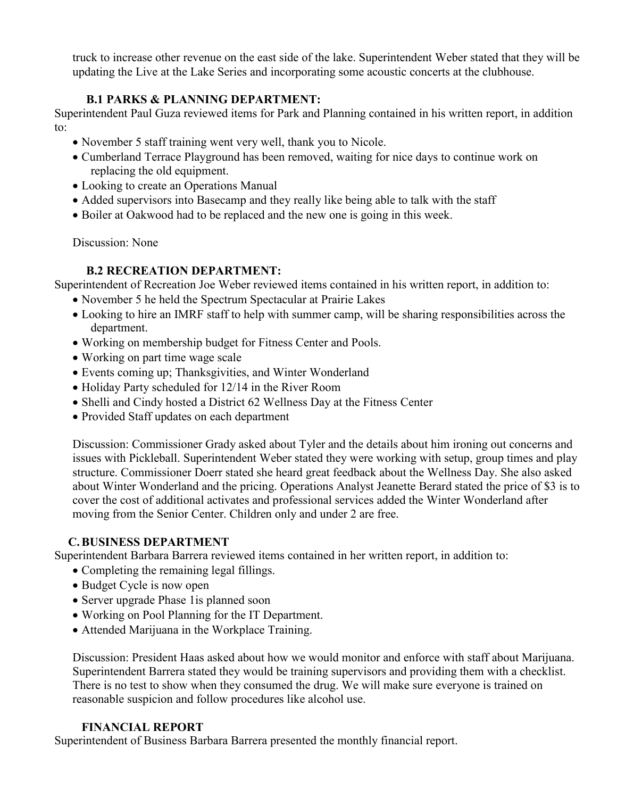truck to increase other revenue on the east side of the lake. Superintendent Weber stated that they will be updating the Live at the Lake Series and incorporating some acoustic concerts at the clubhouse.

## **B.1 PARKS & PLANNING DEPARTMENT:**

Superintendent Paul Guza reviewed items for Park and Planning contained in his written report, in addition to:

- November 5 staff training went very well, thank you to Nicole.
- Cumberland Terrace Playground has been removed, waiting for nice days to continue work on replacing the old equipment.
- Looking to create an Operations Manual
- Added supervisors into Basecamp and they really like being able to talk with the staff
- Boiler at Oakwood had to be replaced and the new one is going in this week.

Discussion: None

### **B.2 RECREATION DEPARTMENT:**

Superintendent of Recreation Joe Weber reviewed items contained in his written report, in addition to:

- November 5 he held the Spectrum Spectacular at Prairie Lakes
- Looking to hire an IMRF staff to help with summer camp, will be sharing responsibilities across the department.
- Working on membership budget for Fitness Center and Pools.
- Working on part time wage scale
- Events coming up; Thanksgivities, and Winter Wonderland
- Holiday Party scheduled for 12/14 in the River Room
- Shelli and Cindy hosted a District 62 Wellness Day at the Fitness Center
- Provided Staff updates on each department

Discussion: Commissioner Grady asked about Tyler and the details about him ironing out concerns and issues with Pickleball. Superintendent Weber stated they were working with setup, group times and play structure. Commissioner Doerr stated she heard great feedback about the Wellness Day. She also asked about Winter Wonderland and the pricing. Operations Analyst Jeanette Berard stated the price of \$3 is to cover the cost of additional activates and professional services added the Winter Wonderland after moving from the Senior Center. Children only and under 2 are free.

### **C.BUSINESS DEPARTMENT**

Superintendent Barbara Barrera reviewed items contained in her written report, in addition to:

- Completing the remaining legal fillings.
- Budget Cycle is now open
- Server upgrade Phase 1 is planned soon
- Working on Pool Planning for the IT Department.
- Attended Marijuana in the Workplace Training.

Discussion: President Haas asked about how we would monitor and enforce with staff about Marijuana. Superintendent Barrera stated they would be training supervisors and providing them with a checklist. There is no test to show when they consumed the drug. We will make sure everyone is trained on reasonable suspicion and follow procedures like alcohol use.

## **FINANCIAL REPORT**

Superintendent of Business Barbara Barrera presented the monthly financial report.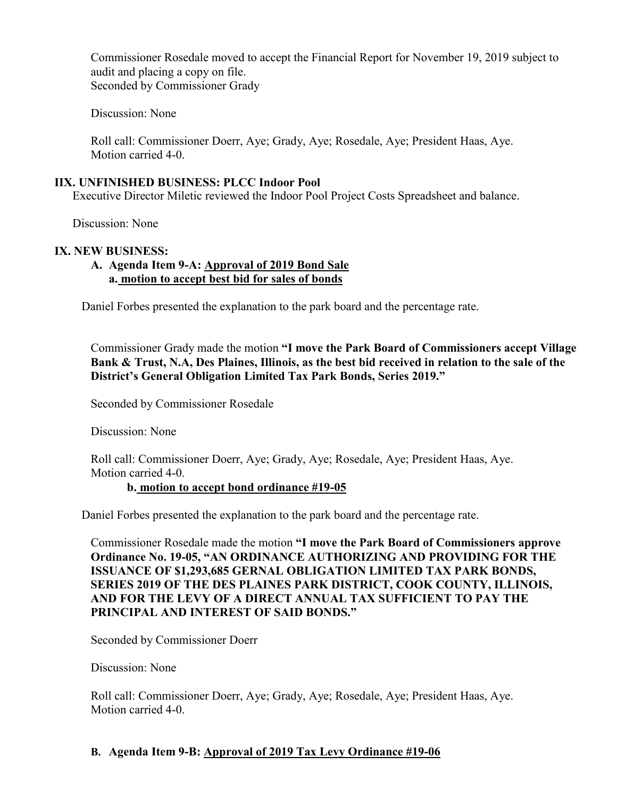Commissioner Rosedale moved to accept the Financial Report for November 19, 2019 subject to audit and placing a copy on file. Seconded by Commissioner Grady

Discussion: None

 Roll call: Commissioner Doerr, Aye; Grady, Aye; Rosedale, Aye; President Haas, Aye. Motion carried 4-0.

#### **IIX. UNFINISHED BUSINESS: PLCC Indoor Pool**

Executive Director Miletic reviewed the Indoor Pool Project Costs Spreadsheet and balance.

Discussion: None

#### **IX. NEW BUSINESS:**

#### **A. Agenda Item 9-A: Approval of 2019 Bond Sale a. motion to accept best bid for sales of bonds**

Daniel Forbes presented the explanation to the park board and the percentage rate.

Commissioner Grady made the motion **"I move the Park Board of Commissioners accept Village Bank & Trust, N.A, Des Plaines, Illinois, as the best bid received in relation to the sale of the District's General Obligation Limited Tax Park Bonds, Series 2019."**

Seconded by Commissioner Rosedale

Discussion: None

 Roll call: Commissioner Doerr, Aye; Grady, Aye; Rosedale, Aye; President Haas, Aye. Motion carried 4-0.

### **b. motion to accept bond ordinance #19-05**

Daniel Forbes presented the explanation to the park board and the percentage rate.

Commissioner Rosedale made the motion **"I move the Park Board of Commissioners approve Ordinance No. 19-05, "AN ORDINANCE AUTHORIZING AND PROVIDING FOR THE ISSUANCE OF \$1,293,685 GERNAL OBLIGATION LIMITED TAX PARK BONDS, SERIES 2019 OF THE DES PLAINES PARK DISTRICT, COOK COUNTY, ILLINOIS, AND FOR THE LEVY OF A DIRECT ANNUAL TAX SUFFICIENT TO PAY THE PRINCIPAL AND INTEREST OF SAID BONDS."**

Seconded by Commissioner Doerr

Discussion: None

 Roll call: Commissioner Doerr, Aye; Grady, Aye; Rosedale, Aye; President Haas, Aye. Motion carried 4-0.

### **B. Agenda Item 9-B: Approval of 2019 Tax Levy Ordinance #19-06**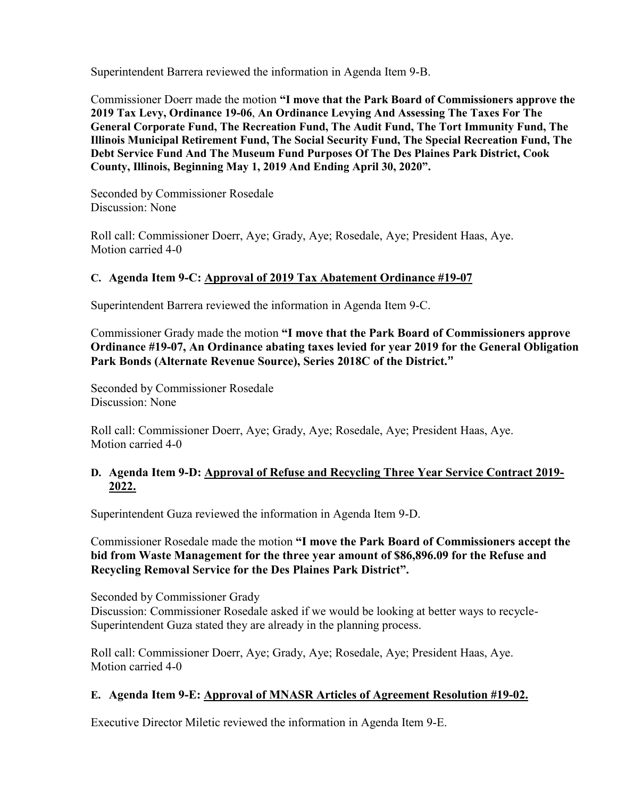Superintendent Barrera reviewed the information in Agenda Item 9-B.

Commissioner Doerr made the motion **"I move that the Park Board of Commissioners approve the 2019 Tax Levy, Ordinance 19-06**, **An Ordinance Levying And Assessing The Taxes For The General Corporate Fund, The Recreation Fund, The Audit Fund, The Tort Immunity Fund, The Illinois Municipal Retirement Fund, The Social Security Fund, The Special Recreation Fund, The Debt Service Fund And The Museum Fund Purposes Of The Des Plaines Park District, Cook County, Illinois, Beginning May 1, 2019 And Ending April 30, 2020".**

 Seconded by Commissioner Rosedale Discussion: None

 Roll call: Commissioner Doerr, Aye; Grady, Aye; Rosedale, Aye; President Haas, Aye. Motion carried 4-0

### **C. Agenda Item 9-C: Approval of 2019 Tax Abatement Ordinance #19-07**

Superintendent Barrera reviewed the information in Agenda Item 9-C.

Commissioner Grady made the motion **"I move that the Park Board of Commissioners approve Ordinance #19-07, An Ordinance abating taxes levied for year 2019 for the General Obligation Park Bonds (Alternate Revenue Source), Series 2018C of the District."**

 Seconded by Commissioner Rosedale Discussion: None

 Roll call: Commissioner Doerr, Aye; Grady, Aye; Rosedale, Aye; President Haas, Aye. Motion carried 4-0

#### **D. Agenda Item 9-D: Approval of Refuse and Recycling Three Year Service Contract 2019- 2022.**

Superintendent Guza reviewed the information in Agenda Item 9-D.

Commissioner Rosedale made the motion **"I move the Park Board of Commissioners accept the bid from Waste Management for the three year amount of \$86,896.09 for the Refuse and Recycling Removal Service for the Des Plaines Park District".** 

 Seconded by Commissioner Grady Discussion: Commissioner Rosedale asked if we would be looking at better ways to recycle-Superintendent Guza stated they are already in the planning process.

 Roll call: Commissioner Doerr, Aye; Grady, Aye; Rosedale, Aye; President Haas, Aye. Motion carried 4-0

### **E. Agenda Item 9-E: Approval of MNASR Articles of Agreement Resolution #19-02.**

Executive Director Miletic reviewed the information in Agenda Item 9-E.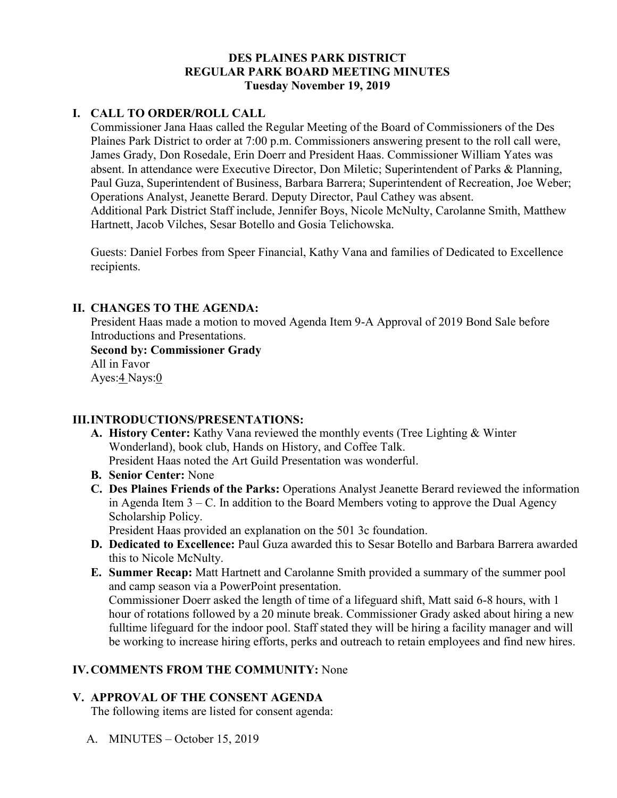### **DES PLAINES PARK DISTRICT REGULAR PARK BOARD MEETING MINUTES Tuesday November 19, 2019**

### **I. CALL TO ORDER/ROLL CALL**

Commissioner Jana Haas called the Regular Meeting of the Board of Commissioners of the Des Plaines Park District to order at 7:00 p.m. Commissioners answering present to the roll call were, James Grady, Don Rosedale, Erin Doerr and President Haas. Commissioner William Yates was absent. In attendance were Executive Director, Don Miletic; Superintendent of Parks & Planning, Paul Guza, Superintendent of Business, Barbara Barrera; Superintendent of Recreation, Joe Weber; Operations Analyst, Jeanette Berard. Deputy Director, Paul Cathey was absent. Additional Park District Staff include, Jennifer Boys, Nicole McNulty, Carolanne Smith, Matthew Hartnett, Jacob Vilches, Sesar Botello and Gosia Telichowska.

Guests: Daniel Forbes from Speer Financial, Kathy Vana and families of Dedicated to Excellence recipients.

### **II. CHANGES TO THE AGENDA:**

President Haas made a motion to moved Agenda Item 9-A Approval of 2019 Bond Sale before Introductions and Presentations.

**Second by: Commissioner Grady**  All in Favor Ayes:4 Nays:0

### **III.INTRODUCTIONS/PRESENTATIONS:**

- **A. History Center:** Kathy Vana reviewed the monthly events (Tree Lighting & Winter Wonderland), book club, Hands on History, and Coffee Talk. President Haas noted the Art Guild Presentation was wonderful.
- **B. Senior Center:** None
- **C. Des Plaines Friends of the Parks:** Operations Analyst Jeanette Berard reviewed the information in Agenda Item  $3 - C$ . In addition to the Board Members voting to approve the Dual Agency Scholarship Policy.

President Haas provided an explanation on the 501 3c foundation.

- **D. Dedicated to Excellence:** Paul Guza awarded this to Sesar Botello and Barbara Barrera awarded this to Nicole McNulty.
- **E. Summer Recap:** Matt Hartnett and Carolanne Smith provided a summary of the summer pool and camp season via a PowerPoint presentation.

Commissioner Doerr asked the length of time of a lifeguard shift, Matt said 6-8 hours, with 1 hour of rotations followed by a 20 minute break. Commissioner Grady asked about hiring a new fulltime lifeguard for the indoor pool. Staff stated they will be hiring a facility manager and will be working to increase hiring efforts, perks and outreach to retain employees and find new hires.

## **IV.COMMENTS FROM THE COMMUNITY:** None

## **V. APPROVAL OF THE CONSENT AGENDA**

The following items are listed for consent agenda:

A. MINUTES – October 15, 2019